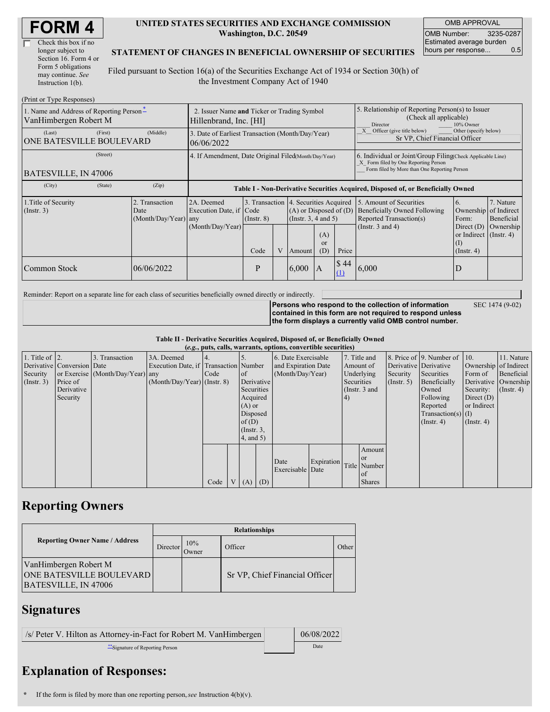| Check this box if no  |
|-----------------------|
| longer subject to     |
| Section 16. Form 4 or |
| Form 5 obligations    |
| may continue. See     |
| Instruction $1(b)$ .  |

#### **UNITED STATES SECURITIES AND EXCHANGE COMMISSION Washington, D.C. 20549**

OMB APPROVAL OMB Number: 3235-0287 Estimated average burden hours per response... 0.5

### **STATEMENT OF CHANGES IN BENEFICIAL OWNERSHIP OF SECURITIES**

Filed pursuant to Section 16(a) of the Securities Exchange Act of 1934 or Section 30(h) of the Investment Company Act of 1940

| (Print or Type Responses)                                         |                                                                       |                                                                                  |                         |                |                                                                                                                                                    |                                                                                                     |                                                                                                                                                    |                                                                                                                    |                                                                                                                 |                                      |
|-------------------------------------------------------------------|-----------------------------------------------------------------------|----------------------------------------------------------------------------------|-------------------------|----------------|----------------------------------------------------------------------------------------------------------------------------------------------------|-----------------------------------------------------------------------------------------------------|----------------------------------------------------------------------------------------------------------------------------------------------------|--------------------------------------------------------------------------------------------------------------------|-----------------------------------------------------------------------------------------------------------------|--------------------------------------|
| 1. Name and Address of Reporting Person-<br>VanHimbergen Robert M | 2. Issuer Name and Ticker or Trading Symbol<br>Hillenbrand, Inc. [HI] |                                                                                  |                         |                |                                                                                                                                                    | 5. Relationship of Reporting Person(s) to Issuer<br>(Check all applicable)<br>Director<br>10% Owner |                                                                                                                                                    |                                                                                                                    |                                                                                                                 |                                      |
| (Last)<br>(First)<br><b>ONE BATESVILLE BOULEVARD</b>              | (Middle)                                                              | 3. Date of Earliest Transaction (Month/Day/Year)<br>06/06/2022                   |                         |                |                                                                                                                                                    |                                                                                                     |                                                                                                                                                    | Other (specify below)<br>Officer (give title below)<br>Sr VP, Chief Financial Officer                              |                                                                                                                 |                                      |
| (Street)<br><b>BATESVILLE, IN 47006</b>                           | 4. If Amendment, Date Original Filed(Month/Day/Year)                  |                                                                                  |                         |                |                                                                                                                                                    |                                                                                                     | 6. Individual or Joint/Group Filing(Check Applicable Line)<br>X Form filed by One Reporting Person<br>Form filed by More than One Reporting Person |                                                                                                                    |                                                                                                                 |                                      |
| (City)<br>(State)                                                 | (Zip)                                                                 | Table I - Non-Derivative Securities Acquired, Disposed of, or Beneficially Owned |                         |                |                                                                                                                                                    |                                                                                                     |                                                                                                                                                    |                                                                                                                    |                                                                                                                 |                                      |
| 1. Title of Security<br>$($ Instr. 3 $)$                          | 2. Transaction<br>Date<br>$(Month/Day/Year)$ any                      | 2A. Deemed<br>Execution Date, if Code<br>(Month/Day/Year)                        | $($ Instr. $8)$<br>Code | $\overline{V}$ | 3. Transaction 4. Securities Acquired<br>$(A)$ or Disposed of $(D)$<br>$($ Instr. 3, 4 and 5 $)$<br>(A)<br><sub>or</sub><br>Price<br>(D)<br>Amount |                                                                                                     |                                                                                                                                                    | 5. Amount of Securities<br><b>Beneficially Owned Following</b><br>Reported Transaction(s)<br>(Instr. $3$ and $4$ ) | 6.<br>Ownership of Indirect<br>Form:<br>Direct $(D)$<br>or Indirect $($ Instr. 4 $)$<br>(I)<br>$($ Instr. 4 $)$ | 7. Nature<br>Beneficial<br>Ownership |
| Common Stock                                                      | 06/06/2022                                                            |                                                                                  | P                       |                | 6.000                                                                                                                                              | IA                                                                                                  | \$44                                                                                                                                               | 6,000                                                                                                              | D                                                                                                               |                                      |

Reminder: Report on a separate line for each class of securities beneficially owned directly or indirectly.

**Persons who respond to the collection of information**

SEC 1474 (9-02)

**contained in this form are not required to respond unless the form displays a currently valid OMB control number.**

**Table II - Derivative Securities Acquired, Disposed of, or Beneficially Owned**

| (e.g., puts, calls, warrants, options, convertible securities) |                            |                                  |                                       |      |                |                     |                  |                          |            |                       |               |                      |                              |              |                      |
|----------------------------------------------------------------|----------------------------|----------------------------------|---------------------------------------|------|----------------|---------------------|------------------|--------------------------|------------|-----------------------|---------------|----------------------|------------------------------|--------------|----------------------|
| 1. Title of $\vert$ 2.                                         |                            | 3. Transaction                   | 3A. Deemed                            |      |                |                     |                  | 6. Date Exercisable      |            |                       | 7. Title and  |                      | 8. Price of 9. Number of 10. |              | 11. Nature           |
|                                                                | Derivative Conversion Date |                                  | Execution Date, if Transaction Number |      |                | and Expiration Date |                  | Amount of                |            | Derivative Derivative |               |                      | Ownership of Indirect        |              |                      |
| Security                                                       |                            | or Exercise (Month/Day/Year) any |                                       | Code | <sub>of</sub>  |                     | (Month/Day/Year) |                          | Underlying |                       | Security      | Securities           | Form of                      | Beneficial   |                      |
| (Insert. 3)                                                    | Price of                   |                                  | $(Month/Day/Year)$ (Instr. 8)         |      |                | Derivative          |                  |                          |            | Securities            |               | $($ Instr. 5 $)$     | Beneficially                 |              | Derivative Ownership |
|                                                                | Derivative                 |                                  |                                       |      |                | Securities          |                  |                          |            | (Instr. 3 and         |               |                      | Owned                        | Security:    | $($ Instr. 4 $)$     |
|                                                                | Security                   |                                  |                                       |      |                | Acquired            |                  |                          |            | 4)                    |               |                      | Following                    | Direct $(D)$ |                      |
|                                                                |                            |                                  |                                       |      |                | $(A)$ or            |                  |                          |            |                       |               |                      | Reported                     | or Indirect  |                      |
|                                                                |                            |                                  |                                       |      | Disposed       |                     |                  |                          |            |                       |               | $Transaction(s)$ (I) |                              |              |                      |
|                                                                |                            |                                  |                                       |      |                | of $(D)$            |                  |                          |            |                       | $($ Instr. 4) | $($ Instr. 4 $)$     |                              |              |                      |
|                                                                |                            |                                  |                                       |      |                | $($ Instr. $3,$     |                  |                          |            |                       |               |                      |                              |              |                      |
|                                                                |                            |                                  |                                       |      |                | 4, and 5)           |                  |                          |            |                       |               |                      |                              |              |                      |
|                                                                |                            |                                  |                                       |      |                |                     |                  |                          |            |                       | Amount        |                      |                              |              |                      |
|                                                                |                            |                                  |                                       |      |                |                     |                  |                          |            |                       | <sub>or</sub> |                      |                              |              |                      |
|                                                                |                            |                                  |                                       |      |                |                     |                  | Date<br>Exercisable Date | Expiration |                       | Title Number  |                      |                              |              |                      |
|                                                                |                            |                                  |                                       |      |                |                     |                  |                          |            |                       | of            |                      |                              |              |                      |
|                                                                |                            |                                  |                                       | Code | V <sub>1</sub> | $(A)$ $(D)$         |                  |                          |            |                       | <b>Shares</b> |                      |                              |              |                      |

## **Reporting Owners**

|                                                                                  | <b>Relationships</b> |              |                                |       |  |  |  |  |  |
|----------------------------------------------------------------------------------|----------------------|--------------|--------------------------------|-------|--|--|--|--|--|
| <b>Reporting Owner Name / Address</b>                                            | Director             | 10%<br>Owner | Officer                        | Other |  |  |  |  |  |
| VanHimbergen Robert M<br><b>ONE BATESVILLE BOULEVARD</b><br>BATESVILLE, IN 47006 |                      |              | Sr VP, Chief Financial Officer |       |  |  |  |  |  |

### **Signatures**

| /s/ Peter V. Hilton as Attorney-in-Fact for Robert M. VanHimbergen | 06/08/2022 |
|--------------------------------------------------------------------|------------|
| ** Signature of Reporting Person                                   | Date       |

# **Explanation of Responses:**

**<sup>\*</sup>** If the form is filed by more than one reporting person,*see* Instruction 4(b)(v).